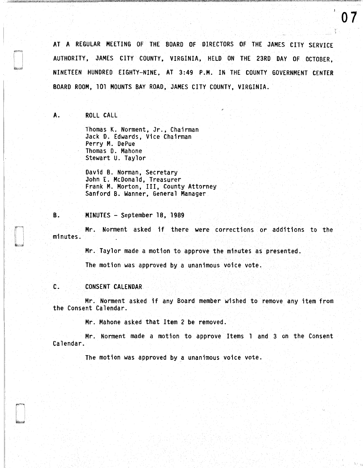AT A REGULAR MEETING OF THE BOARD OF DIRECTORS OF THE JAMES CITY SERVICE AUTHORITY, JAMES CITY COUNTY, VIRGINIA, HELD ON THE 23RD DAY OF OCTOBER, NINETEEN HUNDRED EIGHTY-NINE, AT 3 :49 P .M. IN THE COUNTY GOVERNMENT CENTER BOARD ROOM, 101 MOUNTS BAY ROAD, JAMES CITY COUNTY, VIRGINIA.

A. ROLL CALL

Thomas K. Norment, Jr., Chairman Jack 0. Edwards, Vice Chairman Perry M. DePue Thomas D. Mahone Stewart U. Taylor

David B. Norman, Secretary John E. McDonald, Treasurer Frank M. Morton, III, County Attorney Sanford B. Wanner, General Manager

### B. MINUTES - September 18, 1989

Mr. Norment asked if there were corrections or additions to the minutes.

Mr. Taylor made a motion to approve the minutes as presented.

The motion was approved by a unanimous voice vote.

# C. CONSENT CALENDAR

Mr. Norment asked if any Board member wished to remove any item from the Consent Calendar.

Mr. Mahone asked that Item 2 be removed.

Mr. Norment made a motion to approve Items 1 and 3 on the Consent Calendar.

The motion was approved by a unanimous voice vote.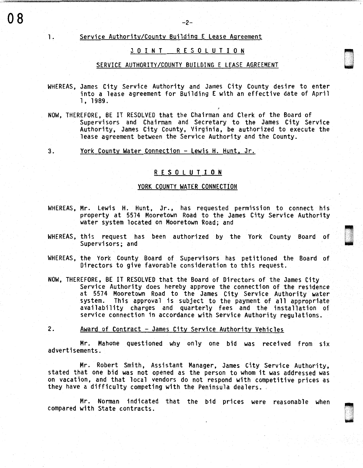# 1. Service Authority/County Building E Lease Agreement

# JOINT RESOLUTION

n<br>North Starten u<br>under

~ ' ŝ,

u ' '

# SERVICE AUTHORITY/COUNTY BUILDING E LEASE AGREEMENT

- WHEREAS, James City Service Authority and James City County desire to enter into a lease agreement for Building E with an effective date of April l, 1989.
- NOW, THEREFORE, BE IT RESOLVED that the Chairman and Clerk of the Board of Supervisors and Chairman and Secretary to the James City Service Authority, James City County, Virginia, be authorized to execute the lease agreement between the Service Authority and the County.

3. York County Water Connection - Lewis H. Hunt, Jr.

# R E S 0 L U T I 0 N

### YORK COUNTY WATER CONNECTION

- WHEREAS, Mr. Lewis H. Hunt, Jr., has requested permission to connect his property at 5574 Mooretown Road to the James City Service Authority water system located on Mooretown Road; and
- WHEREAS, this request has been authorized by the York County Board of Supervisors; and
- WHEREAS, the York County Board of Supervisors has petitioned the Board of Directors to give favorable consideration to this request.
- NOW, THEREFORE, BE IT RESOLVED that the Board of Directors of the James City<br>Service Authority does hereby approve the connection of the residence at 5574 Mooretown Road to the James City Service Authority water system. This approval is subject to the payment of all appropriate availability charges and quarterly fees and the installation of service connection in accordance with Service Authority regulations.
- 2. Award of Contract James City Service Authority Vehicles

Mr. Mahone questioned why only one bid was received from six advertisements.

Mr. Robert Smith, Assistant Manager, James City Service Authority, stated that one bid was not opened as the person to whom it was addressed was on vacation, and that local vendors do not respond with competitive prices as they have a difficulty competing with the Peninsula dealers.

Mr. Norman indicated that the bid prices were reasonable when compared with State contracts.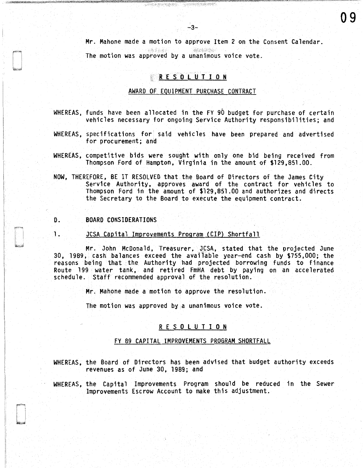Mr. Mahone made a motion to approve Item 2 on the Consent Calendar. 

09

 $-4.4, 4.4$ The motion was approved by a unanimous voice vote.

化聚氰酸钠 法保险条件

# R E S O L U T I O N

## AWARD OF EQUIPMENT PURCHASE CONTRACT

- WHEREAS, funds have been allocated in the FY 90 budget for purchase of certain vehicles necessary for ongoing Service Authority responsibilities; and
- WHEREAS, specifications for' said vehicles have been prepared and advertised for procurement; and
- WHEREAS, competitive bids were sought with only one bid being received from Thompson Ford of Hampton, Virginia in the amount of \$129,851.00.
- NOW, THEREFORE, BE IT RESOLVED that the Board of Directors of the James City Service Authority, approves award of the contract for vehicles to Thompson Ford in the amount of \$129,851.00 and authorizes and directs the Secretary to the Board to execute the equipment contract.

## D. BOARD CONSIDERATIONS

#### 1. JCSA Capital Improvements Program (CIP) Shortfall

Mr. John McDonald, Treasurer, JCSA, stated that the projected June 30, 1989, cash balances exceed the available year-end cash by \$755,000; the reasons being that the Authority had projected borrowing funds to finance Route 199 water tank, and retired FmHA debt by paying on an accelerated schedule. Staff recommended approval of the resolution.

Mr. Mahone made a motion to approve the resolution.

The motion was approved by a unanimous voice vote.

### R E S O L U T I O N

### FY 89 CAPITAL IMPROVEMENTS PROGRAM SHORTFALL

- WHEREAS, the Board of Directors has been advised that budget authority exceeds revenues as of June 30, 1989; and
- WHEREAS, the Capital Improvements Program should be reduced in the Sewer Improvements Escrow Account to make this adjustment.

**System Company**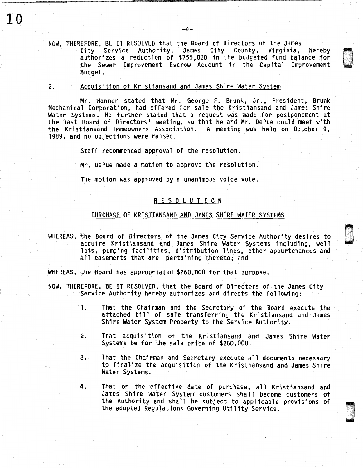NOW, THEREFORE, BE IT RESOLVED that the Board of Directors of the James City Service Authority, James City County, Virginia, hereby authorizes a reduction of \$755,000 in the budgeted fund balance for the Sewer Improvement Escrow Account in the Capital Improvement Budget.

r""I i 'j ( J -

·. ' .

### 2. Acquisition of Kristiansand and James Shire Water System

10

Mr. Wanner stated that Mr. George F. Brunk, Jr., President, Brunk Mechanical Corporation, had offered for sale tbe Kristiansand and James Shire Water Systems. He further stated that a request was made for postponement at the last Board of Directors' meeting, so that he and Mr. DePue could meet with the Kristiansand Homeowners Association. A meeting was held on October 9, 1989, and no objections were raised.

Staff recommended approval of the resolution.

Mr. DePue made a motion to approve the resolution.

The motion was approved by a unanimous voice vote.

# R E S 0 l U T I 0 N

# PURCHASE OF KRISTIANSAND AND JAMES SHIRE WATER SYSTEMS

WHEREAS, the Board of Directors of the James City Service Authority desires to acquire Kristiansand and James Shire Water Systems including, well lots, pumping facilities, distribution lines, other appurtenances and all easements that are pertaining thereto; and

WHEREAS, the Board has appropriated \$260,000 for that purpose.

- NOW, THEREFORE, BE IT RESOLVED, that the Board of Directors of the James City Service Authority hereby authorizes and directs the following:
	- 1. That the Chairman and the Secretary of the Board execute the attached bill of sale transferring the Kristiansand and James Shire Water System Property to the Service Authority.
	- *2.* That acquisition of the Kristiansand and James Shire Water Systems be for the sale price of \$260,000.
	- 3. That the Chairman and Secretary execute all documents necessary to finalize the acquisition of the Kristiansand and James Shire Water Systems.
	- 4. That on the effective date of purchase, all Kristiansand and James Shire Water System customers shall become customers of the Authority and shall be subject to applicable provisions of the adopted Regulations Governing Utility Service.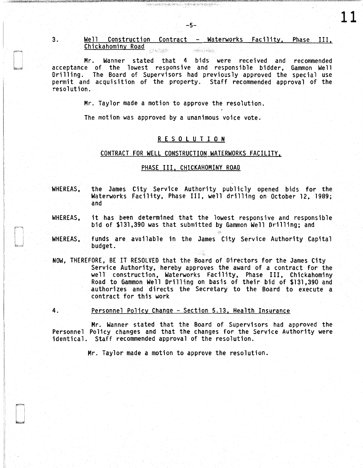3. Well Construction Contract - Waterworks Facility, Phase III, Chickahominy Road SANAK . Sand Hand

11

Mr. Wanner stated that 4 bids were received and recommended acceptance of the lowest responsive and responsible bidder, Gammon Well Drilling. The Board of Supervisors had previously approved the special use permit and acquisition of the property. Staff recommended approval of the resolution.

Mr. Taylor made a motion to approve the resolution.

The motion was approved by a unanimous voice vote.

## R E S 0 L U T I 0 N

#### CONTRACT FOR WELL CONSTRUCTION WATERWORKS FACILITY,

# PHASE III, CHICKAHOMINY ROAD

- WHEREAS, the James City Service Authority publicly opened bids for the Waterworks Facility, Phase III, well drilling on October 12, 1989; and
- WHEREAS, it has been determined that the lowest responsive and responsible bid of \$131,390 was that submitted by Gammon Well Drilling; and
- WHEREAS, funds are available in the James City Service Authority Capital budget.
- NOW, THEREFORE, BE IT RESOLVED that the Board of Directors for the James City Service Authority, hereby approves the award of a contract for the well construction, Waterworks Facility, Phase III, Chickahominy Road to Gammon Well Drilling on basis of their bid of \$131,390 and authorizes and directs the Secretary to the Board to execute a contract for this work
- 4. Personnel Policy Change Section 5.13, Health Insurance

Mr. Wanner stated that the Board of Supervisors had approved the Personnel Policy changes and that the changes for the Service Authority were identical. Staff recommended approval of the resolution.

Mr. Taylor made a motion to approve the resolution.

a postala postala stanova se postala stanova se postala stanova se postala stanova se postala stanova se posta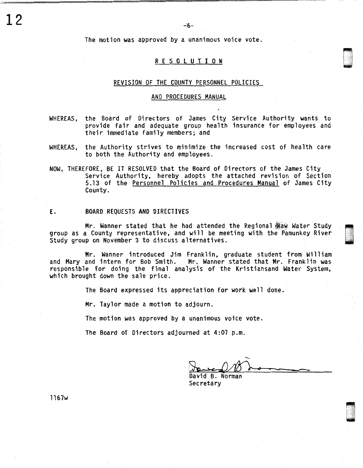The motion was approved by a unanimous voice vote.

### R E S 0 l U T I 0 N

### REVISION OF THE COUNTY PERSONNEL POLICIES

#### AND PROCEDURES MANUAL

- WHEREAS, the Board of Directors of James City Service Authority wants to provide fair and adequate group health insurance for employees and their immediate family members; and
- WHEREAS, the Authority strives to minimize the increased cost of health care to both the Authority and employees.
- NOW, THEREFORE, BE IT RESOLVED that the Board of Directors of the James City Service Authority, hereby adopts the attached revision of Section 5.13 of the Personnel Policies and Procedures Manual of James City County.

## E. BOARD REQUESTS AND DIRECTIVES

Mr. Wanner stated that he had attended the Regional Raw Water Study group as a County representative, and will be meeting with the Pamunkey River Study group on November 3 to discuss alternatives.

Mr. Wanner introduced Jim Franklin, graduate student from William and Mary and intern for Bob Smith. Mr. Wanner stated that Mr. Franklin was responsible for doing the final analysis of the Kristiansand Water System, which brought down the sale price.

The Board expressed its appreciation for work well done.

Mr. Taylor made a motion to adjourn.

The motion was approved by a unanimous voice vote.

The Board of Directors adjourned at 4:07 p.m.

David B. Norman Secretary

l 167w

 $12$  . The contract of the contract of the contract of the contract of the contract of the contract of the contract of the contract of the contract of the contract of the contract of the contract of the contract of the co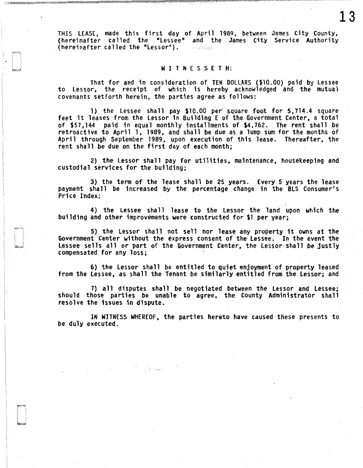THIS LEASE, made this first day of April 1989, between James City County, (hereinafter called the "Lessee" and the James City Service Authority (hereinafter called the "Lessor").

13

#### WITNESSETH:

That for and in consideration of TEN DOLLARS {\$10.00) paid by Lessee to Lessor, the receipt of which is hereby acknowledged and the mutual covenants setforth herein, the parties agree as follows:

1) the Lessee shall pay \$10.00 per square foot for 5, 714.4 square feet it leases from the Lessor in Building E of the Government Center, a total of \$57,144 paid in equal monthly installments of \$4,762. The rent shall be retroactive to April 1, 1989, and shall be due as a lump sum for the months of April through September 1989, upon execution of this lease. Thereafter, the rent shall be due on the first day of each month;

2) the Lessor shall pay for utilities, maintenance, housekeeping and custodial services for the building;

3) the term of the lease shall be 25 years. Every 5 years the lease payment shall be increased by the percentage change in the BLS Consumer's Price Index;

4) the Lessee shall lease to the Lessor the land upon which the building and other improvements were constructed for \$1 per year;

5) the Lessor shall not sell nor lease any property it owns at the Government Center without the express consent of the Lessee. In the event the Lessee sells all or part of the Government Center, the Lessor shall be justly compensated for any loss;

6) the Lessor shall be entitled to quiet enjoyment of property leased from the Lessee, as shall the Tenant be similarly entitled from the Lessor; and

7) all disputes shall be negotiated between the Lessor and Lessee; should those parties be unable to agree, the County Administrator shall resolve the issues in dispute.

IN WITNESS WHEREOF, the parties hereto have caused these presents to be duly executed.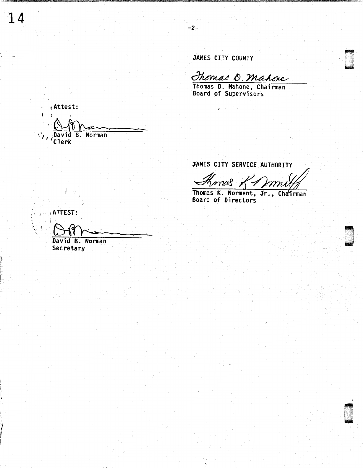JAMES CITY COUNTY

-2-

Thomas O. Mahore

. 0

u . .

Thomas 0. Mahone, Chairman Board of Supervisors

 $\frac{1}{1}$  (Attest: Am • *<sup>1</sup> ,'*1 David B. Norman ' *t* Cl erk  $\overline{\phantom{a}}$ 

JAMES CITY SERVICE AUTHORITY

Shomes

Thomas K. Norment, Jr., Chairman Board of Directors

 $\lambda$ 

 $\left| \cdot \right|$  $\mathcal{A}$ 

*r*  **I**  14

i  $\int$ *t*  **I** 

ATTEST: .') ' David B. Norman

Secretary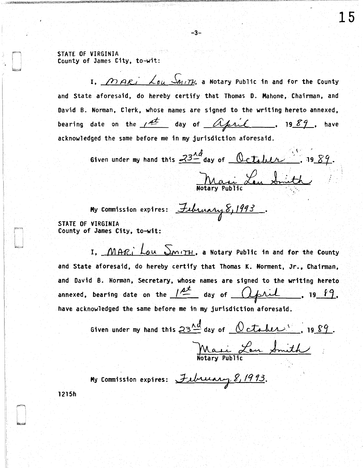STATE OF VIRGINIA County of James City, to-wit:

I. *MARI* Lou SMITH, a Notary Public in and for the County and State aforesaid, do hereby certify that Thomas O. Mahone, Chairman, and David B. Norman, Clerk, whose names are signed to the writing hereto annexed, bearing date on the  $\sqrt{4}$  day of  $\Delta \neq \sqrt{k}$ , 19 89, have acknowledged the same before me in my jurisdiction aforesaid.

-3-

Given under my hand this  $\frac{33-4}{1}$  day of  $\frac{0}{1}$ . 19  $89$ . Mari Leu Smith '·

My Commission expires:  $\frac{\text{Iubunary}}{\text{Iubunary}} \frac{8}{1993}$ . STATE OF VIRGINIA County of James City, to-wit:

I. MARI Lou SmITH, a Notary Public in and for the County and State aforesaid, do hereby certify that Thomas K. Norment, Jr., Chairman, and David B. Norman, Secretary, whose names are signed to the writing hereto annexed, bearing date on the  $\frac{1}{2}$  day of igned to the writing hereto<br>Capril . 19 f9. have acknowledged the same before me in my jurisdiction aforesaid.

> Given under my hand this  $23\frac{\lambda d}{\lambda}$  day of  $0$  ctober. , 19  $89$ . Mari Lon Smith

My Commission expires: February 8, 1993.

1215h

15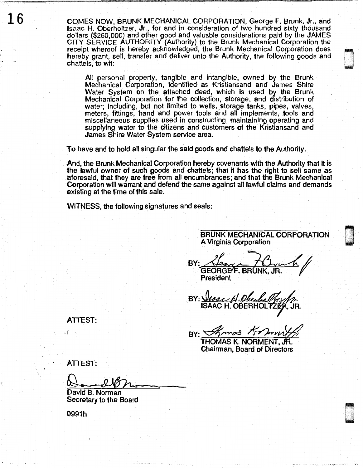$1\,6$  COMES NOW, BRUNK MECHANICAL CORPORATION, George F. Brunk, Jr., and Isaac H. Oberholtzer, Jr., for and in consideration of two hundred sixty thousand dollars (\$260,000) and other good and valuable considerations paid by the JAMES CITY SERVICE AUTHORITY (Authority) to the Brunk Mechanical Corporation the receipt whereof is hereby acknowledged, the Brunk Mechanical Corporation does hereby grant, sell, transfer and deliver unto the Authority, the following goods and **chattels, to wit:** 

> All personal property, tangible and intangible, owned by the Brunk Mechanical Corporation, identified as Kristiansand and James Shire Water System on the attached deed, which is used by the Brunk Mechanical Corporation for the collection, storage, and distribution of water; including, but not limited to wells, storage tanks, pipes, valves, meters, fittings, hand and power tools and all implements, tools and miscellaneous supplies used in constructing, maintaining operating and supplying water to the citizens and customers of the Kristiansand and James Shire Water System service area.

To have and to hold all singular the said goods and chattels to the Authority.

And, the Brunk Mechanical Corporation hereby covenants with the Authority that it is the lawful owner of such goods and chattels; that it has the right to sell same as aforesaid, that they are free from all encumbrances; and that the Brunk Mechanical Corporation will warrant and defend the same against all lawful claims and demands existing at the time of this sale.

WITNESS, the following signatures and seals:

BRUNK MECHANICAL CORPORATION A Virginia Corporation

n ..

BY: <u>Hear Lear Thin</u><br>GEORGEF, BRUNK, JR. President

BY: *Visac A. Olealy*<br>ISAAC H. OBERHO

BY: *Shamos* Kramy

Chairman, Board of Directors

i I

ATTEST:

ATTEST:

David B. Norman Secretary to the Board

0991h